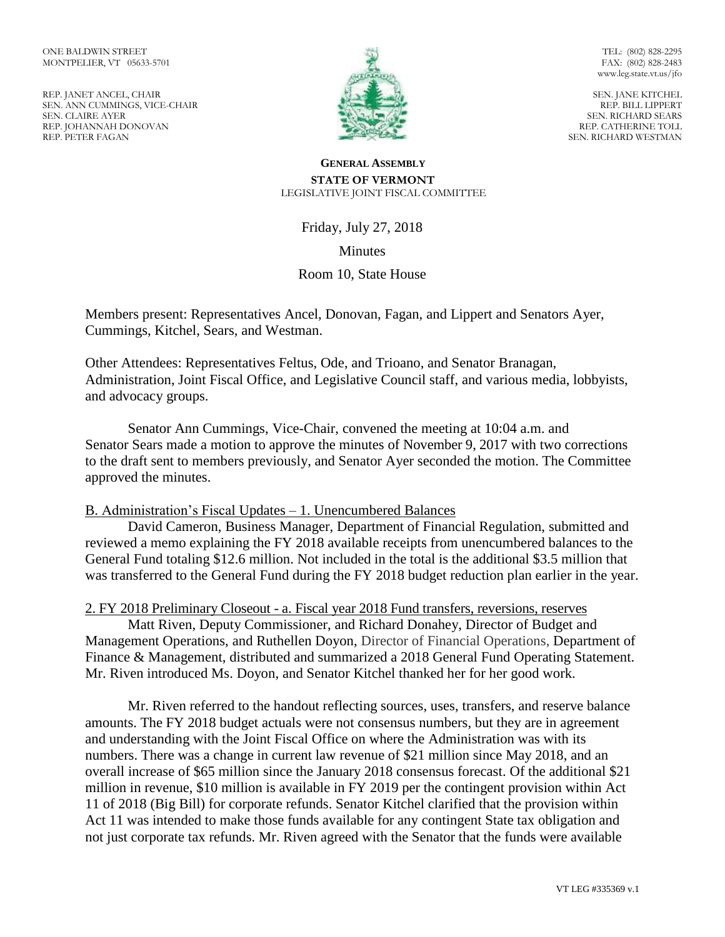REP. JANET ANCEL, CHAIR SEN. ANN CUMMINGS, VICE-CHAIR SEN. CLAIRE AYER REP. JOHANNAH DONOVAN REP. PETER FAGAN



TEL: (802) 828-2295 FAX: (802) 828-2483 www.leg.state.vt.us/jfo

SEN. JANE KITCHEL REP. BILL LIPPERT SEN. RICHARD SEARS REP. CATHERINE TOLL SEN. RICHARD WESTMAN

#### **GENERAL ASSEMBLY STATE OF VERMONT** LEGISLATIVE JOINT FISCAL COMMITTEE

Friday, July 27, 2018

**Minutes** 

# Room 10, State House

Members present: Representatives Ancel, Donovan, Fagan, and Lippert and Senators Ayer, Cummings, Kitchel, Sears, and Westman.

Other Attendees: Representatives Feltus, Ode, and Trioano, and Senator Branagan, Administration, Joint Fiscal Office, and Legislative Council staff, and various media, lobbyists, and advocacy groups.

Senator Ann Cummings, Vice-Chair, convened the meeting at 10:04 a.m. and Senator Sears made a motion to approve the minutes of November 9, 2017 with two corrections to the draft sent to members previously, and Senator Ayer seconded the motion. The Committee approved the minutes.

## B. Administration's Fiscal Updates – 1. Unencumbered Balances

David Cameron, Business Manager, Department of Financial Regulation, submitted and reviewed a memo explaining the FY 2018 available receipts from unencumbered balances to the General Fund totaling \$12.6 million. Not included in the total is the additional \$3.5 million that was transferred to the General Fund during the FY 2018 budget reduction plan earlier in the year.

2. FY 2018 Preliminary Closeout - a. Fiscal year 2018 Fund transfers, reversions, reserves

Matt Riven, Deputy Commissioner, and Richard Donahey, Director of Budget and Management Operations, and Ruthellen Doyon, Director of Financial Operations, Department of Finance & Management, distributed and summarized a 2018 General Fund Operating Statement. Mr. Riven introduced Ms. Doyon, and Senator Kitchel thanked her for her good work.

Mr. Riven referred to the handout reflecting sources, uses, transfers, and reserve balance amounts. The FY 2018 budget actuals were not consensus numbers, but they are in agreement and understanding with the Joint Fiscal Office on where the Administration was with its numbers. There was a change in current law revenue of \$21 million since May 2018, and an overall increase of \$65 million since the January 2018 consensus forecast. Of the additional \$21 million in revenue, \$10 million is available in FY 2019 per the contingent provision within Act 11 of 2018 (Big Bill) for corporate refunds. Senator Kitchel clarified that the provision within Act 11 was intended to make those funds available for any contingent State tax obligation and not just corporate tax refunds. Mr. Riven agreed with the Senator that the funds were available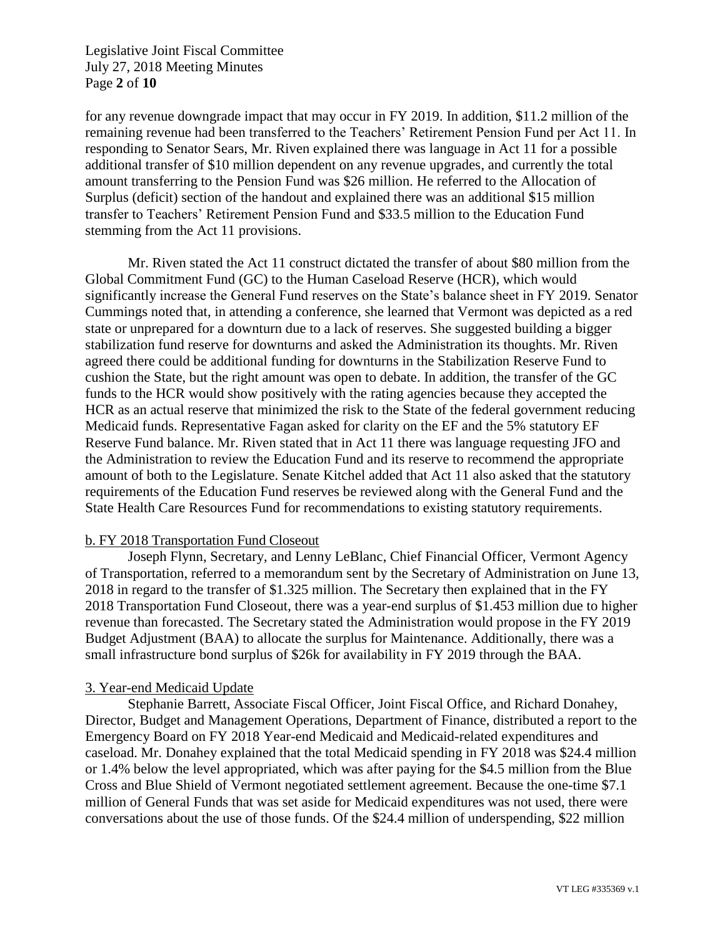Legislative Joint Fiscal Committee July 27, 2018 Meeting Minutes Page **2** of **10**

for any revenue downgrade impact that may occur in FY 2019. In addition, \$11.2 million of the remaining revenue had been transferred to the Teachers' Retirement Pension Fund per Act 11. In responding to Senator Sears, Mr. Riven explained there was language in Act 11 for a possible additional transfer of \$10 million dependent on any revenue upgrades, and currently the total amount transferring to the Pension Fund was \$26 million. He referred to the Allocation of Surplus (deficit) section of the handout and explained there was an additional \$15 million transfer to Teachers' Retirement Pension Fund and \$33.5 million to the Education Fund stemming from the Act 11 provisions.

Mr. Riven stated the Act 11 construct dictated the transfer of about \$80 million from the Global Commitment Fund (GC) to the Human Caseload Reserve (HCR), which would significantly increase the General Fund reserves on the State's balance sheet in FY 2019. Senator Cummings noted that, in attending a conference, she learned that Vermont was depicted as a red state or unprepared for a downturn due to a lack of reserves. She suggested building a bigger stabilization fund reserve for downturns and asked the Administration its thoughts. Mr. Riven agreed there could be additional funding for downturns in the Stabilization Reserve Fund to cushion the State, but the right amount was open to debate. In addition, the transfer of the GC funds to the HCR would show positively with the rating agencies because they accepted the HCR as an actual reserve that minimized the risk to the State of the federal government reducing Medicaid funds. Representative Fagan asked for clarity on the EF and the 5% statutory EF Reserve Fund balance. Mr. Riven stated that in Act 11 there was language requesting JFO and the Administration to review the Education Fund and its reserve to recommend the appropriate amount of both to the Legislature. Senate Kitchel added that Act 11 also asked that the statutory requirements of the Education Fund reserves be reviewed along with the General Fund and the State Health Care Resources Fund for recommendations to existing statutory requirements.

## b. FY 2018 Transportation Fund Closeout

Joseph Flynn, Secretary, and Lenny LeBlanc, Chief Financial Officer, Vermont Agency of Transportation, referred to a memorandum sent by the Secretary of Administration on June 13, 2018 in regard to the transfer of \$1.325 million. The Secretary then explained that in the FY 2018 Transportation Fund Closeout, there was a year-end surplus of \$1.453 million due to higher revenue than forecasted. The Secretary stated the Administration would propose in the FY 2019 Budget Adjustment (BAA) to allocate the surplus for Maintenance. Additionally, there was a small infrastructure bond surplus of \$26k for availability in FY 2019 through the BAA.

## 3. Year-end Medicaid Update

Stephanie Barrett, Associate Fiscal Officer, Joint Fiscal Office, and Richard Donahey, Director, Budget and Management Operations, Department of Finance, distributed a report to the Emergency Board on FY 2018 Year-end Medicaid and Medicaid-related expenditures and caseload. Mr. Donahey explained that the total Medicaid spending in FY 2018 was \$24.4 million or 1.4% below the level appropriated, which was after paying for the \$4.5 million from the Blue Cross and Blue Shield of Vermont negotiated settlement agreement. Because the one-time \$7.1 million of General Funds that was set aside for Medicaid expenditures was not used, there were conversations about the use of those funds. Of the \$24.4 million of underspending, \$22 million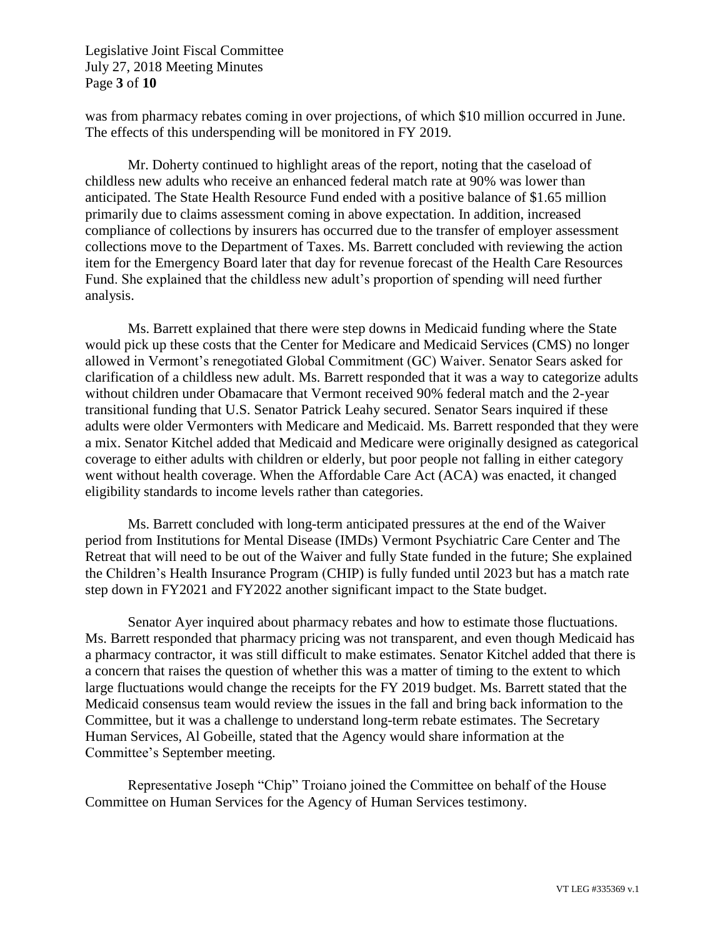Legislative Joint Fiscal Committee July 27, 2018 Meeting Minutes Page **3** of **10**

was from pharmacy rebates coming in over projections, of which \$10 million occurred in June. The effects of this underspending will be monitored in FY 2019.

Mr. Doherty continued to highlight areas of the report, noting that the caseload of childless new adults who receive an enhanced federal match rate at 90% was lower than anticipated. The State Health Resource Fund ended with a positive balance of \$1.65 million primarily due to claims assessment coming in above expectation. In addition, increased compliance of collections by insurers has occurred due to the transfer of employer assessment collections move to the Department of Taxes. Ms. Barrett concluded with reviewing the action item for the Emergency Board later that day for revenue forecast of the Health Care Resources Fund. She explained that the childless new adult's proportion of spending will need further analysis.

Ms. Barrett explained that there were step downs in Medicaid funding where the State would pick up these costs that the Center for Medicare and Medicaid Services (CMS) no longer allowed in Vermont's renegotiated Global Commitment (GC) Waiver. Senator Sears asked for clarification of a childless new adult. Ms. Barrett responded that it was a way to categorize adults without children under Obamacare that Vermont received 90% federal match and the 2-year transitional funding that U.S. Senator Patrick Leahy secured. Senator Sears inquired if these adults were older Vermonters with Medicare and Medicaid. Ms. Barrett responded that they were a mix. Senator Kitchel added that Medicaid and Medicare were originally designed as categorical coverage to either adults with children or elderly, but poor people not falling in either category went without health coverage. When the Affordable Care Act (ACA) was enacted, it changed eligibility standards to income levels rather than categories.

Ms. Barrett concluded with long-term anticipated pressures at the end of the Waiver period from Institutions for Mental Disease (IMDs) Vermont Psychiatric Care Center and The Retreat that will need to be out of the Waiver and fully State funded in the future; She explained the Children's Health Insurance Program (CHIP) is fully funded until 2023 but has a match rate step down in FY2021 and FY2022 another significant impact to the State budget.

Senator Ayer inquired about pharmacy rebates and how to estimate those fluctuations. Ms. Barrett responded that pharmacy pricing was not transparent, and even though Medicaid has a pharmacy contractor, it was still difficult to make estimates. Senator Kitchel added that there is a concern that raises the question of whether this was a matter of timing to the extent to which large fluctuations would change the receipts for the FY 2019 budget. Ms. Barrett stated that the Medicaid consensus team would review the issues in the fall and bring back information to the Committee, but it was a challenge to understand long-term rebate estimates. The Secretary Human Services, Al Gobeille, stated that the Agency would share information at the Committee's September meeting.

Representative Joseph "Chip" Troiano joined the Committee on behalf of the House Committee on Human Services for the Agency of Human Services testimony.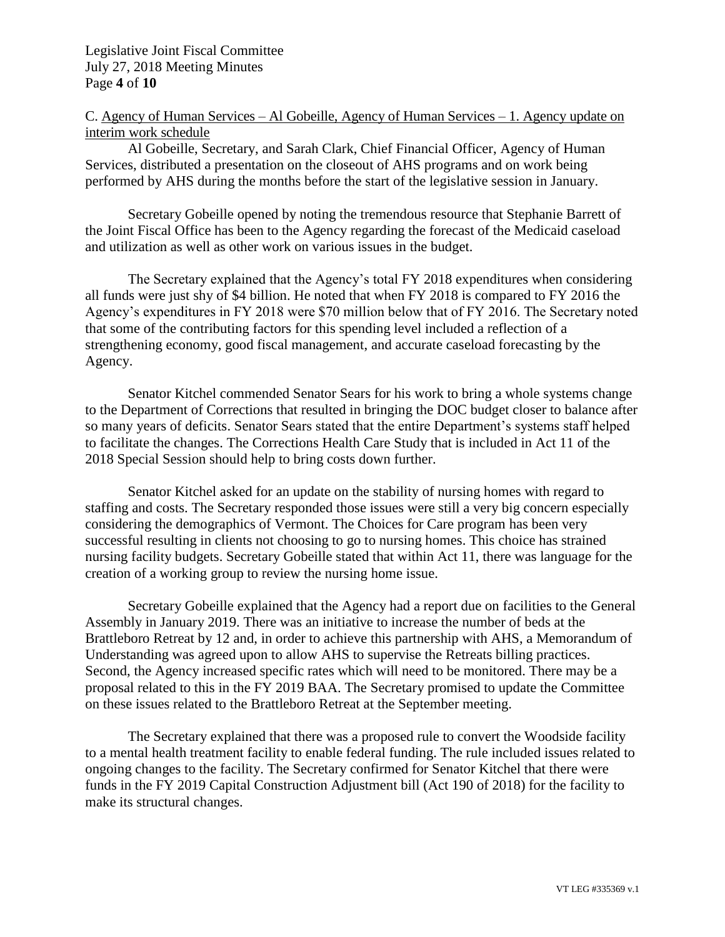Legislative Joint Fiscal Committee July 27, 2018 Meeting Minutes Page **4** of **10**

C. Agency of Human Services – Al Gobeille, Agency of Human Services – 1. Agency update on interim work schedule

Al Gobeille, Secretary, and Sarah Clark, Chief Financial Officer, Agency of Human Services, distributed a presentation on the closeout of AHS programs and on work being performed by AHS during the months before the start of the legislative session in January.

Secretary Gobeille opened by noting the tremendous resource that Stephanie Barrett of the Joint Fiscal Office has been to the Agency regarding the forecast of the Medicaid caseload and utilization as well as other work on various issues in the budget.

The Secretary explained that the Agency's total FY 2018 expenditures when considering all funds were just shy of \$4 billion. He noted that when FY 2018 is compared to FY 2016 the Agency's expenditures in FY 2018 were \$70 million below that of FY 2016. The Secretary noted that some of the contributing factors for this spending level included a reflection of a strengthening economy, good fiscal management, and accurate caseload forecasting by the Agency.

Senator Kitchel commended Senator Sears for his work to bring a whole systems change to the Department of Corrections that resulted in bringing the DOC budget closer to balance after so many years of deficits. Senator Sears stated that the entire Department's systems staff helped to facilitate the changes. The Corrections Health Care Study that is included in Act 11 of the 2018 Special Session should help to bring costs down further.

Senator Kitchel asked for an update on the stability of nursing homes with regard to staffing and costs. The Secretary responded those issues were still a very big concern especially considering the demographics of Vermont. The Choices for Care program has been very successful resulting in clients not choosing to go to nursing homes. This choice has strained nursing facility budgets. Secretary Gobeille stated that within Act 11, there was language for the creation of a working group to review the nursing home issue.

Secretary Gobeille explained that the Agency had a report due on facilities to the General Assembly in January 2019. There was an initiative to increase the number of beds at the Brattleboro Retreat by 12 and, in order to achieve this partnership with AHS, a Memorandum of Understanding was agreed upon to allow AHS to supervise the Retreats billing practices. Second, the Agency increased specific rates which will need to be monitored. There may be a proposal related to this in the FY 2019 BAA. The Secretary promised to update the Committee on these issues related to the Brattleboro Retreat at the September meeting.

The Secretary explained that there was a proposed rule to convert the Woodside facility to a mental health treatment facility to enable federal funding. The rule included issues related to ongoing changes to the facility. The Secretary confirmed for Senator Kitchel that there were funds in the FY 2019 Capital Construction Adjustment bill (Act 190 of 2018) for the facility to make its structural changes.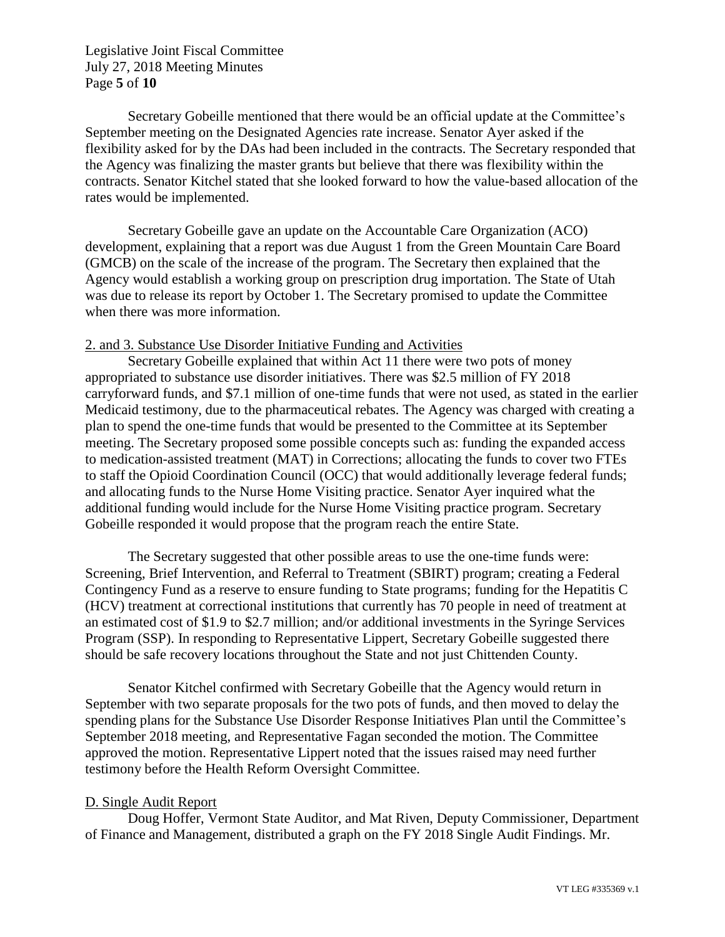Legislative Joint Fiscal Committee July 27, 2018 Meeting Minutes Page **5** of **10**

Secretary Gobeille mentioned that there would be an official update at the Committee's September meeting on the Designated Agencies rate increase. Senator Ayer asked if the flexibility asked for by the DAs had been included in the contracts. The Secretary responded that the Agency was finalizing the master grants but believe that there was flexibility within the contracts. Senator Kitchel stated that she looked forward to how the value-based allocation of the rates would be implemented.

Secretary Gobeille gave an update on the Accountable Care Organization (ACO) development, explaining that a report was due August 1 from the Green Mountain Care Board (GMCB) on the scale of the increase of the program. The Secretary then explained that the Agency would establish a working group on prescription drug importation. The State of Utah was due to release its report by October 1. The Secretary promised to update the Committee when there was more information.

### 2. and 3. Substance Use Disorder Initiative Funding and Activities

Secretary Gobeille explained that within Act 11 there were two pots of money appropriated to substance use disorder initiatives. There was \$2.5 million of FY 2018 carryforward funds, and \$7.1 million of one-time funds that were not used, as stated in the earlier Medicaid testimony, due to the pharmaceutical rebates. The Agency was charged with creating a plan to spend the one-time funds that would be presented to the Committee at its September meeting. The Secretary proposed some possible concepts such as: funding the expanded access to medication-assisted treatment (MAT) in Corrections; allocating the funds to cover two FTEs to staff the Opioid Coordination Council (OCC) that would additionally leverage federal funds; and allocating funds to the Nurse Home Visiting practice. Senator Ayer inquired what the additional funding would include for the Nurse Home Visiting practice program. Secretary Gobeille responded it would propose that the program reach the entire State.

The Secretary suggested that other possible areas to use the one-time funds were: Screening, Brief Intervention, and Referral to Treatment (SBIRT) program; creating a Federal Contingency Fund as a reserve to ensure funding to State programs; funding for the Hepatitis C (HCV) treatment at correctional institutions that currently has 70 people in need of treatment at an estimated cost of \$1.9 to \$2.7 million; and/or additional investments in the Syringe Services Program (SSP). In responding to Representative Lippert, Secretary Gobeille suggested there should be safe recovery locations throughout the State and not just Chittenden County.

Senator Kitchel confirmed with Secretary Gobeille that the Agency would return in September with two separate proposals for the two pots of funds, and then moved to delay the spending plans for the Substance Use Disorder Response Initiatives Plan until the Committee's September 2018 meeting, and Representative Fagan seconded the motion. The Committee approved the motion. Representative Lippert noted that the issues raised may need further testimony before the Health Reform Oversight Committee.

#### D. Single Audit Report

Doug Hoffer, Vermont State Auditor, and Mat Riven, Deputy Commissioner, Department of Finance and Management, distributed a graph on the FY 2018 Single Audit Findings. Mr.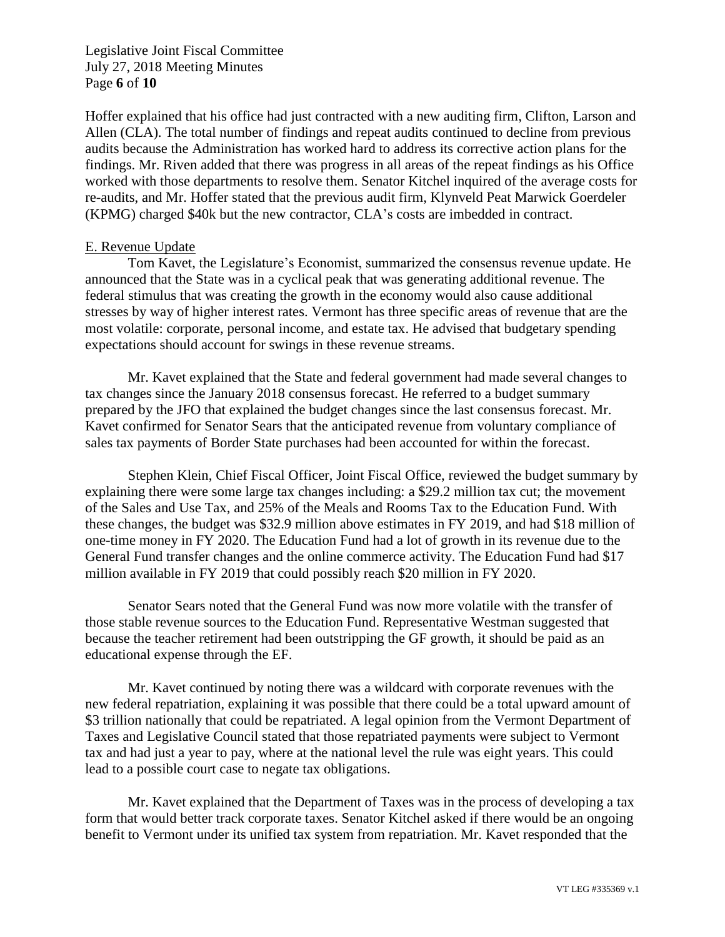Legislative Joint Fiscal Committee July 27, 2018 Meeting Minutes Page **6** of **10**

Hoffer explained that his office had just contracted with a new auditing firm, Clifton, Larson and Allen (CLA). The total number of findings and repeat audits continued to decline from previous audits because the Administration has worked hard to address its corrective action plans for the findings. Mr. Riven added that there was progress in all areas of the repeat findings as his Office worked with those departments to resolve them. Senator Kitchel inquired of the average costs for re-audits, and Mr. Hoffer stated that the previous audit firm, Klynveld Peat Marwick Goerdeler (KPMG) charged \$40k but the new contractor, CLA's costs are imbedded in contract.

## E. Revenue Update

Tom Kavet, the Legislature's Economist, summarized the consensus revenue update. He announced that the State was in a cyclical peak that was generating additional revenue. The federal stimulus that was creating the growth in the economy would also cause additional stresses by way of higher interest rates. Vermont has three specific areas of revenue that are the most volatile: corporate, personal income, and estate tax. He advised that budgetary spending expectations should account for swings in these revenue streams.

Mr. Kavet explained that the State and federal government had made several changes to tax changes since the January 2018 consensus forecast. He referred to a budget summary prepared by the JFO that explained the budget changes since the last consensus forecast. Mr. Kavet confirmed for Senator Sears that the anticipated revenue from voluntary compliance of sales tax payments of Border State purchases had been accounted for within the forecast.

Stephen Klein, Chief Fiscal Officer, Joint Fiscal Office, reviewed the budget summary by explaining there were some large tax changes including: a \$29.2 million tax cut; the movement of the Sales and Use Tax, and 25% of the Meals and Rooms Tax to the Education Fund. With these changes, the budget was \$32.9 million above estimates in FY 2019, and had \$18 million of one-time money in FY 2020. The Education Fund had a lot of growth in its revenue due to the General Fund transfer changes and the online commerce activity. The Education Fund had \$17 million available in FY 2019 that could possibly reach \$20 million in FY 2020.

Senator Sears noted that the General Fund was now more volatile with the transfer of those stable revenue sources to the Education Fund. Representative Westman suggested that because the teacher retirement had been outstripping the GF growth, it should be paid as an educational expense through the EF.

Mr. Kavet continued by noting there was a wildcard with corporate revenues with the new federal repatriation, explaining it was possible that there could be a total upward amount of \$3 trillion nationally that could be repatriated. A legal opinion from the Vermont Department of Taxes and Legislative Council stated that those repatriated payments were subject to Vermont tax and had just a year to pay, where at the national level the rule was eight years. This could lead to a possible court case to negate tax obligations.

Mr. Kavet explained that the Department of Taxes was in the process of developing a tax form that would better track corporate taxes. Senator Kitchel asked if there would be an ongoing benefit to Vermont under its unified tax system from repatriation. Mr. Kavet responded that the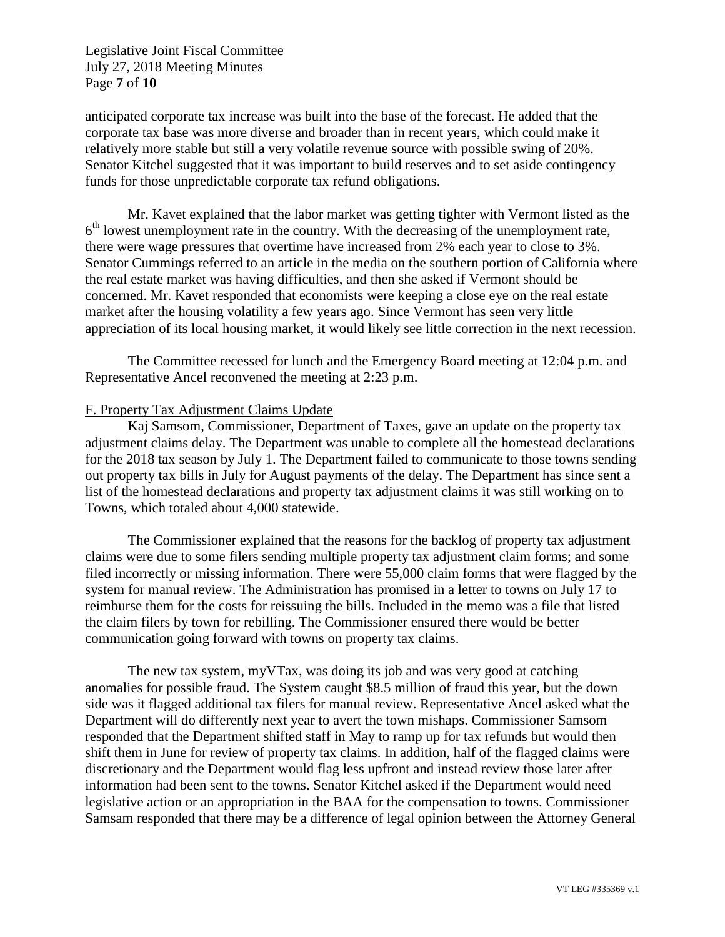Legislative Joint Fiscal Committee July 27, 2018 Meeting Minutes Page **7** of **10**

anticipated corporate tax increase was built into the base of the forecast. He added that the corporate tax base was more diverse and broader than in recent years, which could make it relatively more stable but still a very volatile revenue source with possible swing of 20%. Senator Kitchel suggested that it was important to build reserves and to set aside contingency funds for those unpredictable corporate tax refund obligations.

Mr. Kavet explained that the labor market was getting tighter with Vermont listed as the 6<sup>th</sup> lowest unemployment rate in the country. With the decreasing of the unemployment rate, there were wage pressures that overtime have increased from 2% each year to close to 3%. Senator Cummings referred to an article in the media on the southern portion of California where the real estate market was having difficulties, and then she asked if Vermont should be concerned. Mr. Kavet responded that economists were keeping a close eye on the real estate market after the housing volatility a few years ago. Since Vermont has seen very little appreciation of its local housing market, it would likely see little correction in the next recession.

The Committee recessed for lunch and the Emergency Board meeting at 12:04 p.m. and Representative Ancel reconvened the meeting at 2:23 p.m.

# F. Property Tax Adjustment Claims Update

Kaj Samsom, Commissioner, Department of Taxes, gave an update on the property tax adjustment claims delay. The Department was unable to complete all the homestead declarations for the 2018 tax season by July 1. The Department failed to communicate to those towns sending out property tax bills in July for August payments of the delay. The Department has since sent a list of the homestead declarations and property tax adjustment claims it was still working on to Towns, which totaled about 4,000 statewide.

The Commissioner explained that the reasons for the backlog of property tax adjustment claims were due to some filers sending multiple property tax adjustment claim forms; and some filed incorrectly or missing information. There were 55,000 claim forms that were flagged by the system for manual review. The Administration has promised in a letter to towns on July 17 to reimburse them for the costs for reissuing the bills. Included in the memo was a file that listed the claim filers by town for rebilling. The Commissioner ensured there would be better communication going forward with towns on property tax claims.

The new tax system, myVTax, was doing its job and was very good at catching anomalies for possible fraud. The System caught \$8.5 million of fraud this year, but the down side was it flagged additional tax filers for manual review. Representative Ancel asked what the Department will do differently next year to avert the town mishaps. Commissioner Samsom responded that the Department shifted staff in May to ramp up for tax refunds but would then shift them in June for review of property tax claims. In addition, half of the flagged claims were discretionary and the Department would flag less upfront and instead review those later after information had been sent to the towns. Senator Kitchel asked if the Department would need legislative action or an appropriation in the BAA for the compensation to towns. Commissioner Samsam responded that there may be a difference of legal opinion between the Attorney General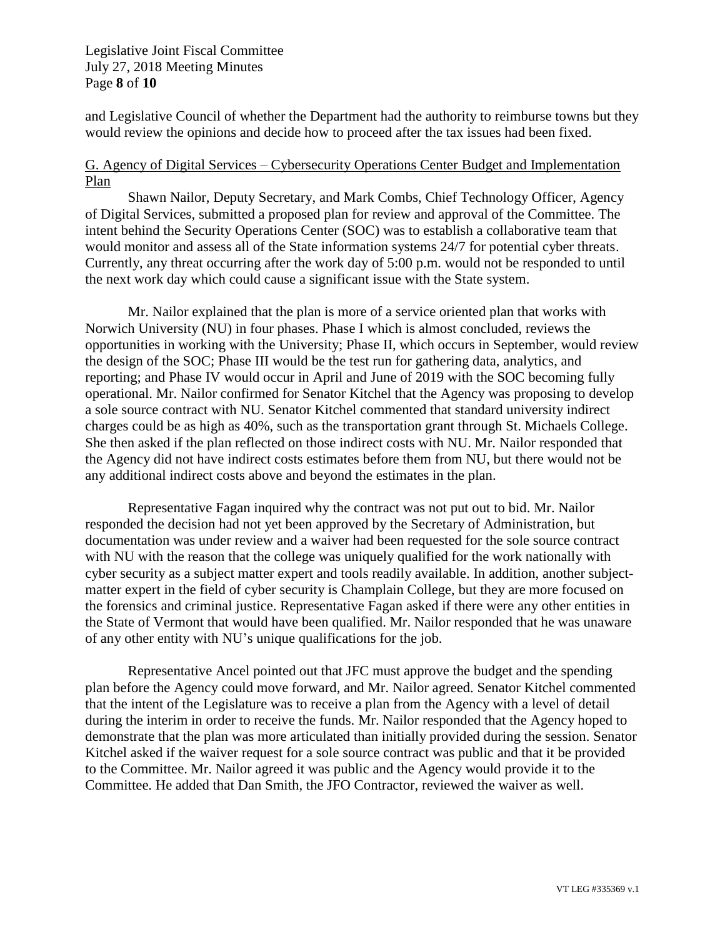Legislative Joint Fiscal Committee July 27, 2018 Meeting Minutes Page **8** of **10**

and Legislative Council of whether the Department had the authority to reimburse towns but they would review the opinions and decide how to proceed after the tax issues had been fixed.

# G. Agency of Digital Services – Cybersecurity Operations Center Budget and Implementation Plan

Shawn Nailor, Deputy Secretary, and Mark Combs, Chief Technology Officer, Agency of Digital Services, submitted a proposed plan for review and approval of the Committee. The intent behind the Security Operations Center (SOC) was to establish a collaborative team that would monitor and assess all of the State information systems 24/7 for potential cyber threats. Currently, any threat occurring after the work day of 5:00 p.m. would not be responded to until the next work day which could cause a significant issue with the State system.

Mr. Nailor explained that the plan is more of a service oriented plan that works with Norwich University (NU) in four phases. Phase I which is almost concluded, reviews the opportunities in working with the University; Phase II, which occurs in September, would review the design of the SOC; Phase III would be the test run for gathering data, analytics, and reporting; and Phase IV would occur in April and June of 2019 with the SOC becoming fully operational. Mr. Nailor confirmed for Senator Kitchel that the Agency was proposing to develop a sole source contract with NU. Senator Kitchel commented that standard university indirect charges could be as high as 40%, such as the transportation grant through St. Michaels College. She then asked if the plan reflected on those indirect costs with NU. Mr. Nailor responded that the Agency did not have indirect costs estimates before them from NU, but there would not be any additional indirect costs above and beyond the estimates in the plan.

Representative Fagan inquired why the contract was not put out to bid. Mr. Nailor responded the decision had not yet been approved by the Secretary of Administration, but documentation was under review and a waiver had been requested for the sole source contract with NU with the reason that the college was uniquely qualified for the work nationally with cyber security as a subject matter expert and tools readily available. In addition, another subjectmatter expert in the field of cyber security is Champlain College, but they are more focused on the forensics and criminal justice. Representative Fagan asked if there were any other entities in the State of Vermont that would have been qualified. Mr. Nailor responded that he was unaware of any other entity with NU's unique qualifications for the job.

Representative Ancel pointed out that JFC must approve the budget and the spending plan before the Agency could move forward, and Mr. Nailor agreed. Senator Kitchel commented that the intent of the Legislature was to receive a plan from the Agency with a level of detail during the interim in order to receive the funds. Mr. Nailor responded that the Agency hoped to demonstrate that the plan was more articulated than initially provided during the session. Senator Kitchel asked if the waiver request for a sole source contract was public and that it be provided to the Committee. Mr. Nailor agreed it was public and the Agency would provide it to the Committee. He added that Dan Smith, the JFO Contractor, reviewed the waiver as well.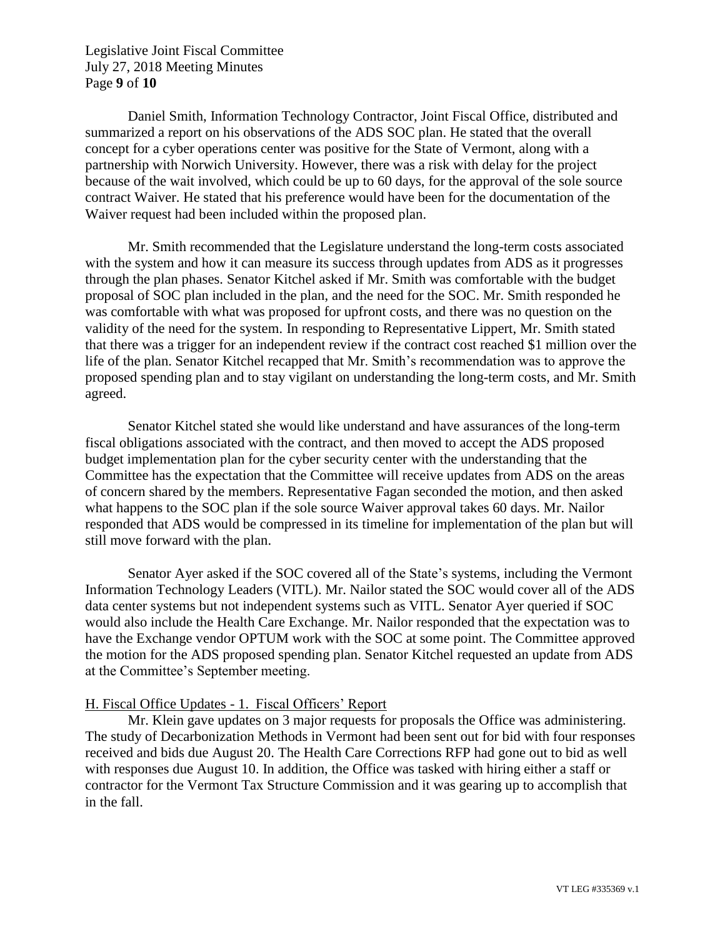Legislative Joint Fiscal Committee July 27, 2018 Meeting Minutes Page **9** of **10**

Daniel Smith, Information Technology Contractor, Joint Fiscal Office, distributed and summarized a report on his observations of the ADS SOC plan. He stated that the overall concept for a cyber operations center was positive for the State of Vermont, along with a partnership with Norwich University. However, there was a risk with delay for the project because of the wait involved, which could be up to 60 days, for the approval of the sole source contract Waiver. He stated that his preference would have been for the documentation of the Waiver request had been included within the proposed plan.

Mr. Smith recommended that the Legislature understand the long-term costs associated with the system and how it can measure its success through updates from ADS as it progresses through the plan phases. Senator Kitchel asked if Mr. Smith was comfortable with the budget proposal of SOC plan included in the plan, and the need for the SOC. Mr. Smith responded he was comfortable with what was proposed for upfront costs, and there was no question on the validity of the need for the system. In responding to Representative Lippert, Mr. Smith stated that there was a trigger for an independent review if the contract cost reached \$1 million over the life of the plan. Senator Kitchel recapped that Mr. Smith's recommendation was to approve the proposed spending plan and to stay vigilant on understanding the long-term costs, and Mr. Smith agreed.

Senator Kitchel stated she would like understand and have assurances of the long-term fiscal obligations associated with the contract, and then moved to accept the ADS proposed budget implementation plan for the cyber security center with the understanding that the Committee has the expectation that the Committee will receive updates from ADS on the areas of concern shared by the members. Representative Fagan seconded the motion, and then asked what happens to the SOC plan if the sole source Waiver approval takes 60 days. Mr. Nailor responded that ADS would be compressed in its timeline for implementation of the plan but will still move forward with the plan.

Senator Ayer asked if the SOC covered all of the State's systems, including the Vermont Information Technology Leaders (VITL). Mr. Nailor stated the SOC would cover all of the ADS data center systems but not independent systems such as VITL. Senator Ayer queried if SOC would also include the Health Care Exchange. Mr. Nailor responded that the expectation was to have the Exchange vendor OPTUM work with the SOC at some point. The Committee approved the motion for the ADS proposed spending plan. Senator Kitchel requested an update from ADS at the Committee's September meeting.

## H. Fiscal Office Updates - 1. Fiscal Officers' Report

Mr. Klein gave updates on 3 major requests for proposals the Office was administering. The study of Decarbonization Methods in Vermont had been sent out for bid with four responses received and bids due August 20. The Health Care Corrections RFP had gone out to bid as well with responses due August 10. In addition, the Office was tasked with hiring either a staff or contractor for the Vermont Tax Structure Commission and it was gearing up to accomplish that in the fall.